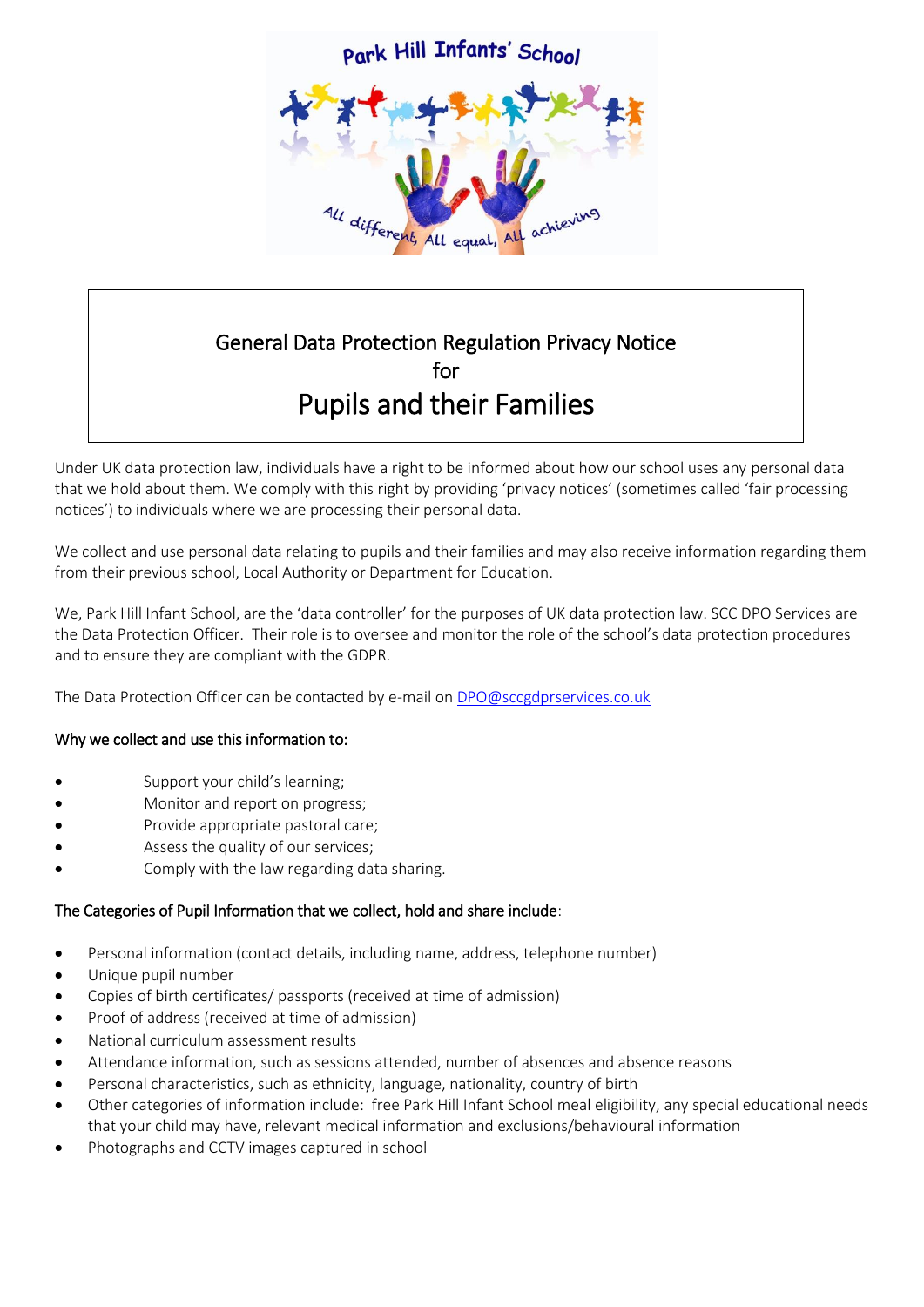

# General Data Protection Regulation Privacy Notice for Pupils and their Families

Under UK data protection law, individuals have a right to be informed about how our school uses any personal data that we hold about them. We comply with this right by providing 'privacy notices' (sometimes called 'fair processing notices') to individuals where we are processing their personal data.

We collect and use personal data relating to pupils and their families and may also receive information regarding them from their previous school, Local Authority or Department for Education.

We, Park Hill Infant School, are the 'data controller' for the purposes of UK data protection law. SCC DPO Services are the Data Protection Officer. Their role is to oversee and monitor the role of the school's data protection procedures and to ensure they are compliant with the GDPR.

The Data Protection Officer can be contacted by e-mail o[n DPO@sccgdprservices.co.uk](mailto:DPO@sccgdprservices.co.uk)

# Why we collect and use this information to:

- Support your child's learning;
- Monitor and report on progress;
- Provide appropriate pastoral care;
- Assess the quality of our services;
- Comply with the law regarding data sharing.

# The Categories of Pupil Information that we collect, hold and share include:

- Personal information (contact details, including name, address, telephone number)
- Unique pupil number
- Copies of birth certificates/ passports (received at time of admission)
- Proof of address (received at time of admission)
- National curriculum assessment results
- Attendance information, such as sessions attended, number of absences and absence reasons
- Personal characteristics, such as ethnicity, language, nationality, country of birth
- Other categories of information include: free Park Hill Infant School meal eligibility, any special educational needs that your child may have, relevant medical information and exclusions/behavioural information
- Photographs and CCTV images captured in school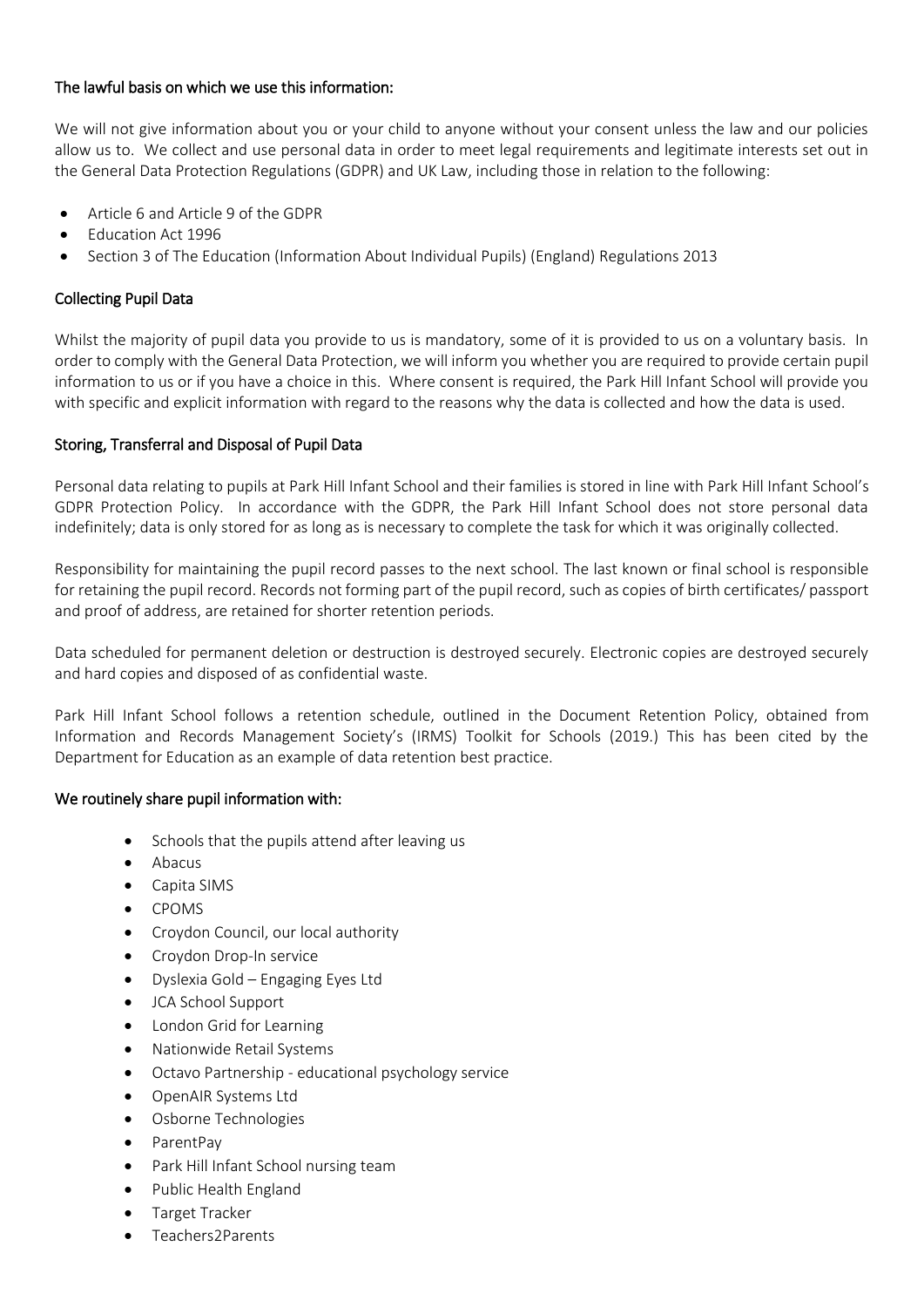# The lawful basis on which we use this information:

We will not give information about you or your child to anyone without your consent unless the law and our policies allow us to. We collect and use personal data in order to meet legal requirements and legitimate interests set out in the General Data Protection Regulations (GDPR) and UK Law, including those in relation to the following:

- Article 6 and Article 9 of the GDPR
- Education Act 1996
- Section 3 of The Education (Information About Individual Pupils) (England) Regulations 2013

# Collecting Pupil Data

Whilst the majority of pupil data you provide to us is mandatory, some of it is provided to us on a voluntary basis. In order to comply with the General Data Protection, we will inform you whether you are required to provide certain pupil information to us or if you have a choice in this. Where consent is required, the Park Hill Infant School will provide you with specific and explicit information with regard to the reasons why the data is collected and how the data is used.

# Storing, Transferral and Disposal of Pupil Data

Personal data relating to pupils at Park Hill Infant School and their families is stored in line with Park Hill Infant School's GDPR Protection Policy. In accordance with the GDPR, the Park Hill Infant School does not store personal data indefinitely; data is only stored for as long as is necessary to complete the task for which it was originally collected.

Responsibility for maintaining the pupil record passes to the next school. The last known or final school is responsible for retaining the pupil record. Records not forming part of the pupil record, such as copies of birth certificates/ passport and proof of address, are retained for shorter retention periods.

Data scheduled for permanent deletion or destruction is destroyed securely. Electronic copies are destroyed securely and hard copies and disposed of as confidential waste.

Park Hill Infant School follows a retention schedule, outlined in the Document Retention Policy, obtained from Information and Records Management Society's (IRMS) Toolkit for Schools (2019.) This has been cited by the Department for Education as an example of data retention best practice.

# We routinely share pupil information with:

- Schools that the pupils attend after leaving us
- Abacus
- Capita SIMS
- CPOMS
- Croydon Council, our local authority
- Croydon Drop-In service
- Dyslexia Gold Engaging Eyes Ltd
- JCA School Support
- London Grid for Learning
- Nationwide Retail Systems
- Octavo Partnership educational psychology service
- OpenAIR Systems Ltd
- Osborne Technologies
- ParentPay
- Park Hill Infant School nursing team
- Public Health England
- Target Tracker
- Teachers2Parents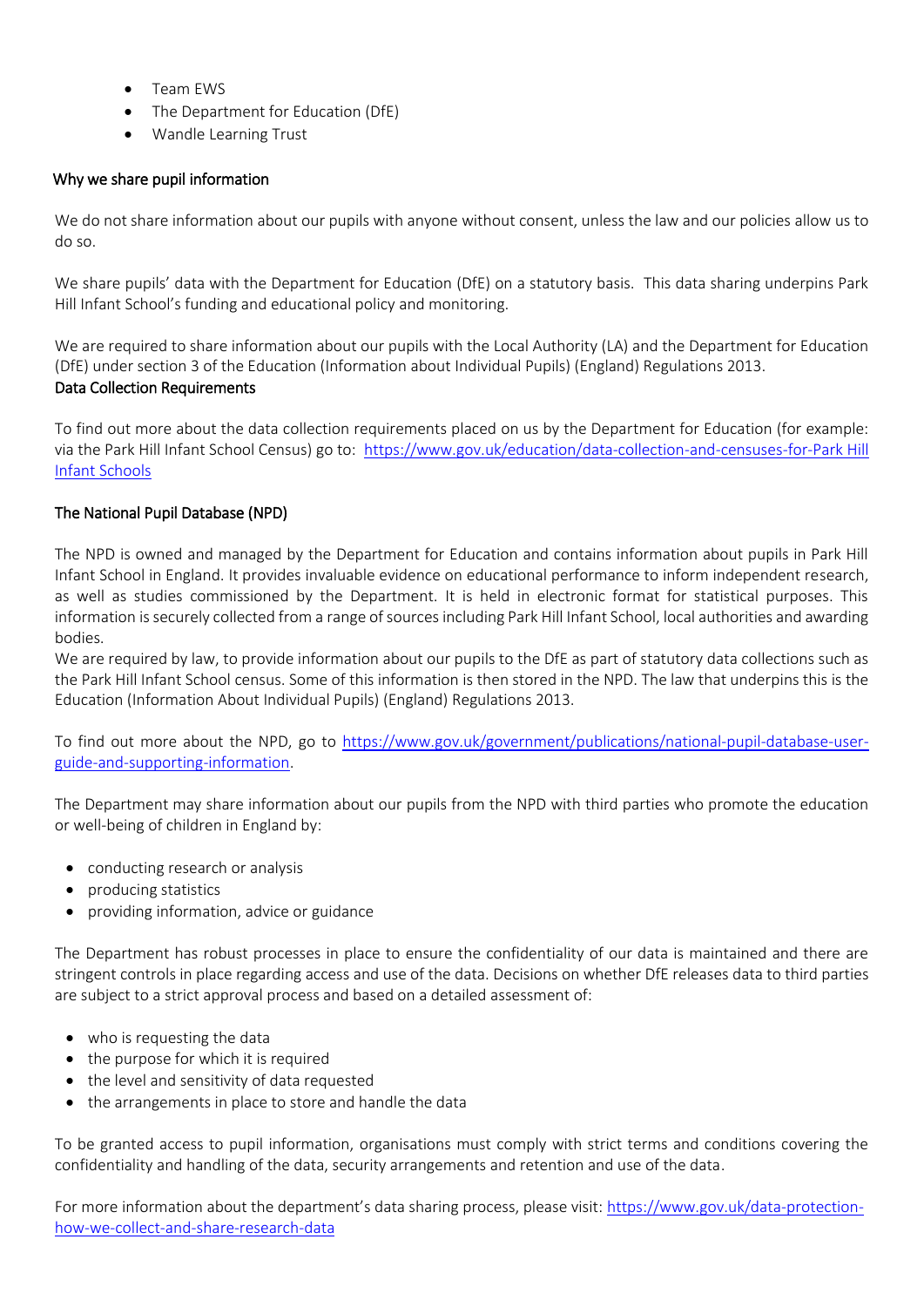- Team EWS
- The Department for Education (DfE)
- Wandle Learning Trust

# Why we share pupil information

We do not share information about our pupils with anyone without consent, unless the law and our policies allow us to do so.

We share pupils' data with the Department for Education (DfE) on a statutory basis. This data sharing underpins Park Hill Infant School's funding and educational policy and monitoring.

We are required to share information about our pupils with the Local Authority (LA) and the Department for Education (DfE) under section 3 of the Education (Information about Individual Pupils) (England) Regulations 2013. Data Collection Requirements

To find out more about the data collection requirements placed on us by the Department for Education (for example: via the Park Hill Infant School Census) go to: [https://www.gov.uk/education/data-collection-and-censuses-for-Park Hill](https://www.gov.uk/education/data-collection-and-censuses-for-schools)  [Infant Schools](https://www.gov.uk/education/data-collection-and-censuses-for-schools)

# The National Pupil Database (NPD)

The NPD is owned and managed by the Department for Education and contains information about pupils in Park Hill Infant School in England. It provides invaluable evidence on educational performance to inform independent research, as well as studies commissioned by the Department. It is held in electronic format for statistical purposes. This information is securely collected from a range of sources including Park Hill Infant School, local authorities and awarding bodies.

We are required by law, to provide information about our pupils to the DfE as part of statutory data collections such as the Park Hill Infant School census. Some of this information is then stored in the NPD. The law that underpins this is the Education (Information About Individual Pupils) (England) Regulations 2013.

To find out more about the NPD, go to [https://www.gov.uk/government/publications/national-pupil-database-user](https://www.gov.uk/government/publications/national-pupil-database-user-guide-and-supporting-information)[guide-and-supporting-information.](https://www.gov.uk/government/publications/national-pupil-database-user-guide-and-supporting-information)

The Department may share information about our pupils from the NPD with third parties who promote the education or well-being of children in England by:

- conducting research or analysis
- producing statistics
- providing information, advice or guidance

The Department has robust processes in place to ensure the confidentiality of our data is maintained and there are stringent controls in place regarding access and use of the data. Decisions on whether DfE releases data to third parties are subject to a strict approval process and based on a detailed assessment of:

- who is requesting the data
- the purpose for which it is required
- the level and sensitivity of data requested
- the arrangements in place to store and handle the data

To be granted access to pupil information, organisations must comply with strict terms and conditions covering the confidentiality and handling of the data, security arrangements and retention and use of the data.

For more information about the department's data sharing process, please visit: [https://www.gov.uk/data-protection](https://www.gov.uk/data-protection-how-we-collect-and-share-research-data)[how-we-collect-and-share-research-data](https://www.gov.uk/data-protection-how-we-collect-and-share-research-data)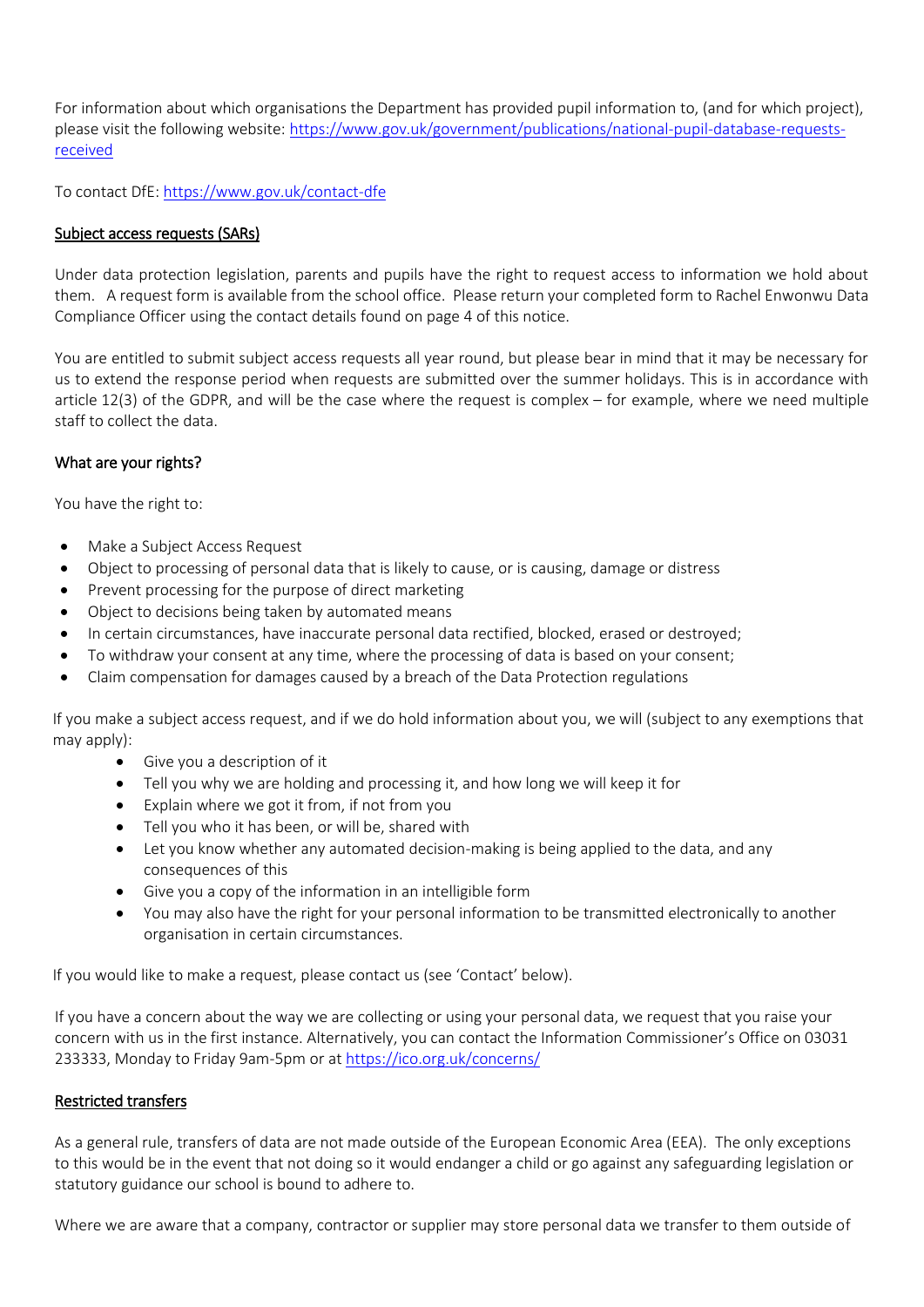For information about which organisations the Department has provided pupil information to, (and for which project), please visit the following website[: https://www.gov.uk/government/publications/national-pupil-database-requests](https://www.gov.uk/government/publications/national-pupil-database-requests-received)[received](https://www.gov.uk/government/publications/national-pupil-database-requests-received)

To contact DfE:<https://www.gov.uk/contact-dfe>

#### Subject access requests (SARs)

Under data protection legislation, parents and pupils have the right to request access to information we hold about them. A request form is available from the school office. Please return your completed form to Rachel Enwonwu Data Compliance Officer using the contact details found on page 4 of this notice.

You are entitled to submit subject access requests all year round, but please bear in mind that it may be necessary for us to extend the response period when requests are submitted over the summer holidays. This is in accordance with article 12(3) of the GDPR, and will be the case where the request is complex – for example, where we need multiple staff to collect the data.

#### What are your rights?

You have the right to:

- Make a Subject Access Request
- Object to processing of personal data that is likely to cause, or is causing, damage or distress
- Prevent processing for the purpose of direct marketing
- Object to decisions being taken by automated means
- In certain circumstances, have inaccurate personal data rectified, blocked, erased or destroyed;
- To withdraw your consent at any time, where the processing of data is based on your consent;
- Claim compensation for damages caused by a breach of the Data Protection regulations

If you make a subject access request, and if we do hold information about you, we will (subject to any exemptions that may apply):

- Give you a description of it
- Tell you why we are holding and processing it, and how long we will keep it for
- Explain where we got it from, if not from you
- Tell you who it has been, or will be, shared with
- Let you know whether any automated decision-making is being applied to the data, and any consequences of this
- Give you a copy of the information in an intelligible form
- You may also have the right for your personal information to be transmitted electronically to another organisation in certain circumstances.

If you would like to make a request, please contact us (see 'Contact' below).

If you have a concern about the way we are collecting or using your personal data, we request that you raise your concern with us in the first instance. Alternatively, you can contact the Information Commissioner's Office on 03031 233333, Monday to Friday 9am-5pm or at<https://ico.org.uk/concerns/>

#### Restricted transfers

As a general rule, transfers of data are not made outside of the European Economic Area (EEA). The only exceptions to this would be in the event that not doing so it would endanger a child or go against any safeguarding legislation or statutory guidance our school is bound to adhere to.

Where we are aware that a company, contractor or supplier may store personal data we transfer to them outside of